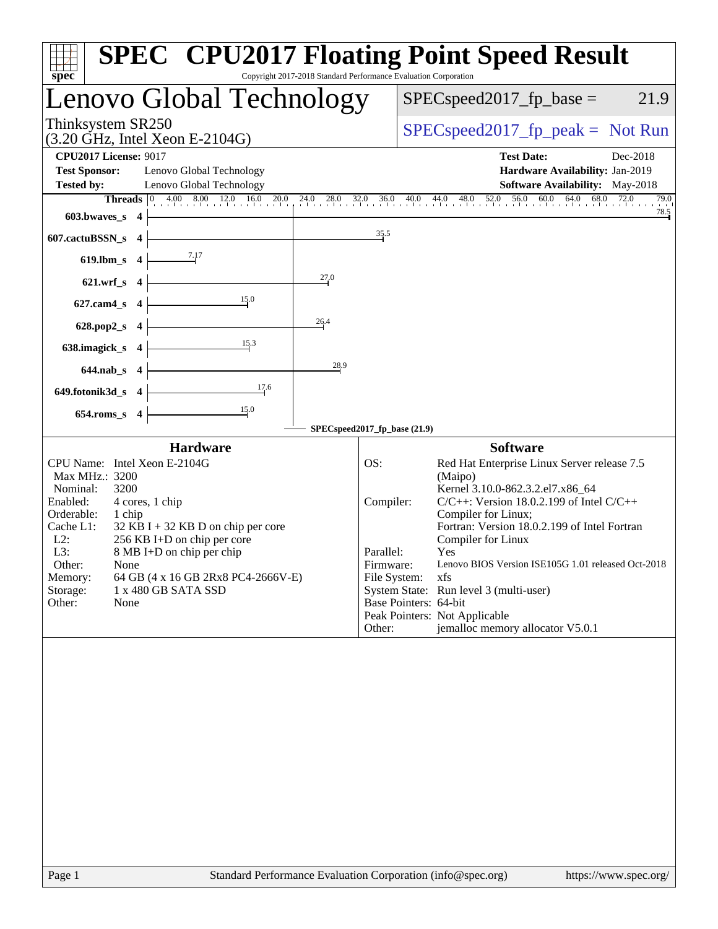| Copyright 2017-2018 Standard Performance Evaluation Corporation<br>spec <sup>®</sup>                                                                                                                                                                                                                                                                                                       | <b>SPEC<sup>®</sup></b> CPU2017 Floating Point Speed Result                                                                                                                                                                                                                                                                                                                                                                                                                                                                  |
|--------------------------------------------------------------------------------------------------------------------------------------------------------------------------------------------------------------------------------------------------------------------------------------------------------------------------------------------------------------------------------------------|------------------------------------------------------------------------------------------------------------------------------------------------------------------------------------------------------------------------------------------------------------------------------------------------------------------------------------------------------------------------------------------------------------------------------------------------------------------------------------------------------------------------------|
| Lenovo Global Technology                                                                                                                                                                                                                                                                                                                                                                   | $SPEC speed2017fp base =$<br>21.9                                                                                                                                                                                                                                                                                                                                                                                                                                                                                            |
| Thinksystem SR250<br>$(3.20 \text{ GHz}, \text{Intel Xeon E-2104G})$                                                                                                                                                                                                                                                                                                                       | $SPEC speed2017fr peak = Not Run$                                                                                                                                                                                                                                                                                                                                                                                                                                                                                            |
| <b>CPU2017 License: 9017</b>                                                                                                                                                                                                                                                                                                                                                               | <b>Test Date:</b><br>Dec-2018                                                                                                                                                                                                                                                                                                                                                                                                                                                                                                |
| <b>Test Sponsor:</b><br>Lenovo Global Technology                                                                                                                                                                                                                                                                                                                                           | Hardware Availability: Jan-2019                                                                                                                                                                                                                                                                                                                                                                                                                                                                                              |
| <b>Tested by:</b><br>Lenovo Global Technology                                                                                                                                                                                                                                                                                                                                              | <b>Software Availability:</b> May-2018<br>79.0                                                                                                                                                                                                                                                                                                                                                                                                                                                                               |
| <b>Threads</b> $\begin{bmatrix} 0 & 4.00 & 8.00 & 12.0 & 16.0 & 20.0 \\ 1 & 0 & 0 & 1 & 1 \end{bmatrix}$<br>$24.0$ $28.0$<br>603.bwaves_s<br>$\overline{\phantom{a}}$                                                                                                                                                                                                                      | $32.0$ $36.0$ $40.0$ $44.0$ $48.0$ $52.0$ $56.0$ $60.0$ $64.0$ $68.0$ $72.0$<br>$\frac{78.5}{2}$                                                                                                                                                                                                                                                                                                                                                                                                                             |
| 607.cactuBSSN_s<br>$\overline{\phantom{0}}$                                                                                                                                                                                                                                                                                                                                                | 35.5                                                                                                                                                                                                                                                                                                                                                                                                                                                                                                                         |
| 7.17<br>619.lbm_s 4                                                                                                                                                                                                                                                                                                                                                                        |                                                                                                                                                                                                                                                                                                                                                                                                                                                                                                                              |
| 27.0<br>$621.wrf$ <sub>S</sub><br>-4                                                                                                                                                                                                                                                                                                                                                       |                                                                                                                                                                                                                                                                                                                                                                                                                                                                                                                              |
| 15.0<br>627.cam4_s<br>$\overline{4}$                                                                                                                                                                                                                                                                                                                                                       |                                                                                                                                                                                                                                                                                                                                                                                                                                                                                                                              |
| 26.4<br>628.pop2_s<br>$\overline{4}$                                                                                                                                                                                                                                                                                                                                                       |                                                                                                                                                                                                                                                                                                                                                                                                                                                                                                                              |
| 15.3<br>638.imagick_s<br>-4                                                                                                                                                                                                                                                                                                                                                                |                                                                                                                                                                                                                                                                                                                                                                                                                                                                                                                              |
| 28.9<br>$644.nab_s$ 4                                                                                                                                                                                                                                                                                                                                                                      |                                                                                                                                                                                                                                                                                                                                                                                                                                                                                                                              |
| 17.6<br>649.fotonik3d_s<br>- 4                                                                                                                                                                                                                                                                                                                                                             |                                                                                                                                                                                                                                                                                                                                                                                                                                                                                                                              |
| 15.0<br>654.roms_s 4                                                                                                                                                                                                                                                                                                                                                                       |                                                                                                                                                                                                                                                                                                                                                                                                                                                                                                                              |
| <b>Hardware</b>                                                                                                                                                                                                                                                                                                                                                                            | SPECspeed2017_fp_base (21.9)<br><b>Software</b>                                                                                                                                                                                                                                                                                                                                                                                                                                                                              |
| CPU Name: Intel Xeon E-2104G<br>Max MHz.: 3200<br>3200<br>Nominal:<br>Enabled:<br>4 cores, 1 chip<br>Orderable:<br>1 chip<br>Cache L1:<br>$32$ KB I + 32 KB D on chip per core<br>$L2$ :<br>256 KB I+D on chip per core<br>L3:<br>8 MB I+D on chip per chip<br>Other:<br><b>None</b><br>64 GB (4 x 16 GB 2Rx8 PC4-2666V-E)<br>Memory:<br>Storage:<br>1 x 480 GB SATA SSD<br>Other:<br>None | OS:<br>Red Hat Enterprise Linux Server release 7.5<br>(Maipo)<br>Kernel 3.10.0-862.3.2.el7.x86_64<br>$C/C++$ : Version 18.0.2.199 of Intel $C/C++$<br>Compiler:<br>Compiler for Linux;<br>Fortran: Version 18.0.2.199 of Intel Fortran<br>Compiler for Linux<br>Yes<br>Parallel:<br>Firmware:<br>Lenovo BIOS Version ISE105G 1.01 released Oct-2018<br>File System:<br>xfs<br>System State: Run level 3 (multi-user)<br>Base Pointers: 64-bit<br>Peak Pointers: Not Applicable<br>jemalloc memory allocator V5.0.1<br>Other: |
| Standard Performance Evaluation Corporation (info@spec.org)<br>Page 1                                                                                                                                                                                                                                                                                                                      | https://www.spec.org/                                                                                                                                                                                                                                                                                                                                                                                                                                                                                                        |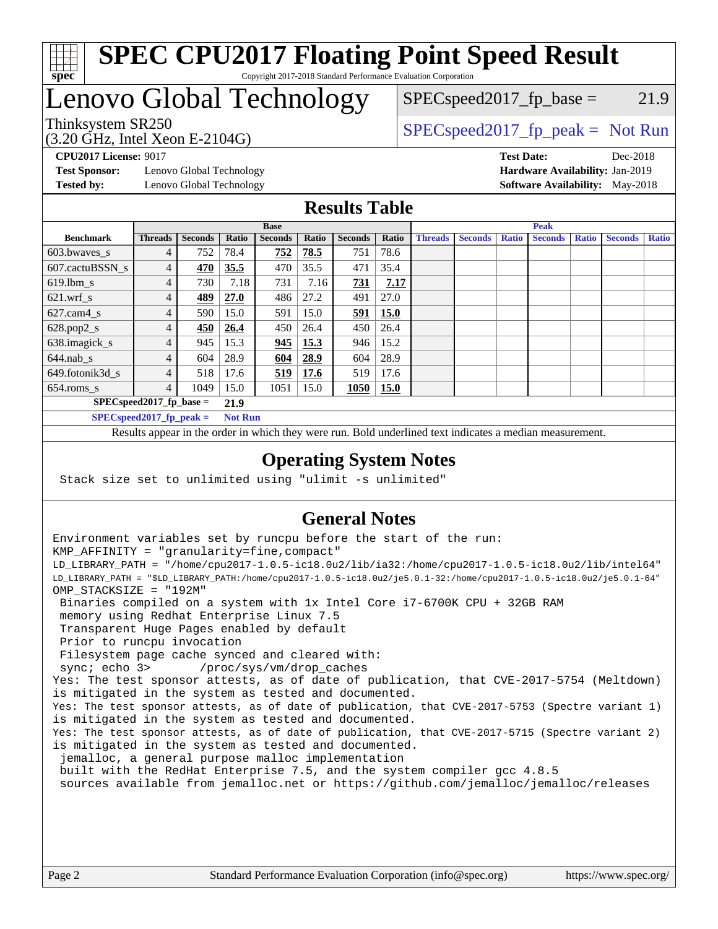

### **[SPEC CPU2017 Floating Point Speed Result](http://www.spec.org/auto/cpu2017/Docs/result-fields.html#SPECCPU2017FloatingPointSpeedResult)** Copyright 2017-2018 Standard Performance Evaluation Corporation

### Lenovo Global Technology

(3.20 GHz, Intel Xeon E-2104G)

Thinksystem SR250  $SPEC speed2017$  [p\_peak = Not Run  $SPEC speed2017_fp\_base = 21.9$ 

**[Test Sponsor:](http://www.spec.org/auto/cpu2017/Docs/result-fields.html#TestSponsor)** Lenovo Global Technology **[Hardware Availability:](http://www.spec.org/auto/cpu2017/Docs/result-fields.html#HardwareAvailability)** Jan-2019 **[Tested by:](http://www.spec.org/auto/cpu2017/Docs/result-fields.html#Testedby)** Lenovo Global Technology **[Software Availability:](http://www.spec.org/auto/cpu2017/Docs/result-fields.html#SoftwareAvailability)** May-2018

**[CPU2017 License:](http://www.spec.org/auto/cpu2017/Docs/result-fields.html#CPU2017License)** 9017 **[Test Date:](http://www.spec.org/auto/cpu2017/Docs/result-fields.html#TestDate)** Dec-2018

### **[Results Table](http://www.spec.org/auto/cpu2017/Docs/result-fields.html#ResultsTable)**

|                                    | <b>Base</b>                |                |                |                | <b>Peak</b> |                |       |                |                |              |                |              |                |              |
|------------------------------------|----------------------------|----------------|----------------|----------------|-------------|----------------|-------|----------------|----------------|--------------|----------------|--------------|----------------|--------------|
| <b>Benchmark</b>                   | <b>Threads</b>             | <b>Seconds</b> | Ratio          | <b>Seconds</b> | Ratio       | <b>Seconds</b> | Ratio | <b>Threads</b> | <b>Seconds</b> | <b>Ratio</b> | <b>Seconds</b> | <b>Ratio</b> | <b>Seconds</b> | <b>Ratio</b> |
| $603.bwaves$ s                     | 4                          | 752            | 78.4           | 752            | 78.5        | 751            | 78.6  |                |                |              |                |              |                |              |
| 607.cactuBSSN s                    | 4                          | 470            | 35.5           | 470            | 35.5        | 471            | 35.4  |                |                |              |                |              |                |              |
| $619.$ lbm s                       | 4                          | 730            | 7.18           | 731            | 7.16        | 731            | 7.17  |                |                |              |                |              |                |              |
| $621.wrf$ s                        | 4                          | 489            | 27.0           | 486            | 27.2        | 491            | 27.0  |                |                |              |                |              |                |              |
| $627$ .cam $4 \text{ s}$           |                            | 590            | 15.0           | 591            | 15.0        | 591            | 15.0  |                |                |              |                |              |                |              |
| $628.pop2_s$                       | 4                          | 450            | 26.4           | 450            | 26.4        | 450            | 26.4  |                |                |              |                |              |                |              |
| 638.imagick_s                      |                            | 945            | 15.3           | 945            | 15.3        | 946            | 15.2  |                |                |              |                |              |                |              |
| $644$ .nab s                       | 4                          | 604            | 28.9           | 604            | 28.9        | 604            | 28.9  |                |                |              |                |              |                |              |
| 649.fotonik3d s                    | 4                          | 518            | 17.6           | 519            | 17.6        | 519            | 17.6  |                |                |              |                |              |                |              |
| $654$ .roms_s                      | 4                          | 1049           | 15.0           | 1051           | 15.0        | 1050           | 15.0  |                |                |              |                |              |                |              |
| $SPEC speed2017$ fp base =<br>21.9 |                            |                |                |                |             |                |       |                |                |              |                |              |                |              |
|                                    | $SPECspeed2017_fp\_peak =$ |                | <b>Not Run</b> |                |             |                |       |                |                |              |                |              |                |              |

Results appear in the [order in which they were run.](http://www.spec.org/auto/cpu2017/Docs/result-fields.html#RunOrder) Bold underlined text [indicates a median measurement](http://www.spec.org/auto/cpu2017/Docs/result-fields.html#Median).

### **[Operating System Notes](http://www.spec.org/auto/cpu2017/Docs/result-fields.html#OperatingSystemNotes)**

Stack size set to unlimited using "ulimit -s unlimited"

### **[General Notes](http://www.spec.org/auto/cpu2017/Docs/result-fields.html#GeneralNotes)**

Environment variables set by runcpu before the start of the run: KMP\_AFFINITY = "granularity=fine,compact" LD\_LIBRARY\_PATH = "/home/cpu2017-1.0.5-ic18.0u2/lib/ia32:/home/cpu2017-1.0.5-ic18.0u2/lib/intel64" LD\_LIBRARY\_PATH = "\$LD\_LIBRARY\_PATH:/home/cpu2017-1.0.5-ic18.0u2/je5.0.1-32:/home/cpu2017-1.0.5-ic18.0u2/je5.0.1-64" OMP\_STACKSIZE = "192M" Binaries compiled on a system with 1x Intel Core i7-6700K CPU + 32GB RAM memory using Redhat Enterprise Linux 7.5 Transparent Huge Pages enabled by default Prior to runcpu invocation Filesystem page cache synced and cleared with: sync; echo 3> /proc/sys/vm/drop\_caches Yes: The test sponsor attests, as of date of publication, that CVE-2017-5754 (Meltdown) is mitigated in the system as tested and documented. Yes: The test sponsor attests, as of date of publication, that CVE-2017-5753 (Spectre variant 1) is mitigated in the system as tested and documented. Yes: The test sponsor attests, as of date of publication, that CVE-2017-5715 (Spectre variant 2) is mitigated in the system as tested and documented. jemalloc, a general purpose malloc implementation built with the RedHat Enterprise 7.5, and the system compiler gcc 4.8.5 sources available from jemalloc.net or <https://github.com/jemalloc/jemalloc/releases>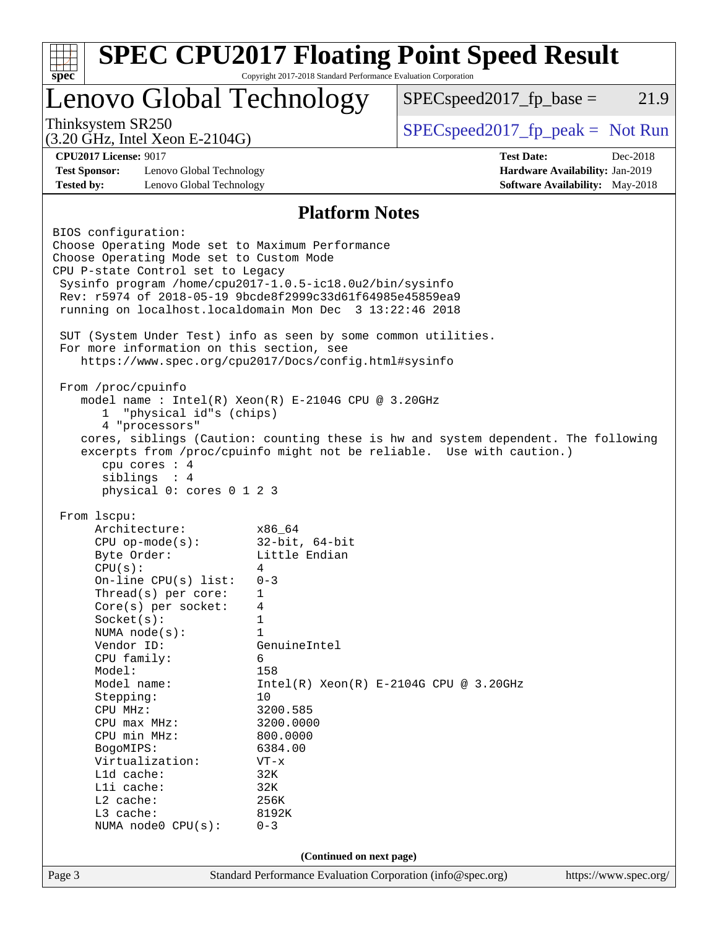|                                                                                                                       | <b>SPEC CPU2017 Floating Point Speed Result</b><br>Copyright 2017-2018 Standard Performance Evaluation Corporation<br>$spec^*$ |                                          |                                        |  |  |  |  |
|-----------------------------------------------------------------------------------------------------------------------|--------------------------------------------------------------------------------------------------------------------------------|------------------------------------------|----------------------------------------|--|--|--|--|
| Lenovo Global Technology                                                                                              |                                                                                                                                | $SPEC speed2017fp base =$                | 21.9                                   |  |  |  |  |
| Thinksystem SR250<br>$(3.20 \text{ GHz}, \text{Intel Xeon E-2104G})$                                                  |                                                                                                                                | $SPEC speed2017_fp\_peak = Not Run$      |                                        |  |  |  |  |
| <b>CPU2017 License: 9017</b>                                                                                          |                                                                                                                                | <b>Test Date:</b>                        | Dec-2018                               |  |  |  |  |
| <b>Test Sponsor:</b><br>Lenovo Global Technology                                                                      |                                                                                                                                |                                          | Hardware Availability: Jan-2019        |  |  |  |  |
| <b>Tested by:</b><br>Lenovo Global Technology                                                                         |                                                                                                                                |                                          | <b>Software Availability:</b> May-2018 |  |  |  |  |
|                                                                                                                       | <b>Platform Notes</b>                                                                                                          |                                          |                                        |  |  |  |  |
| BIOS configuration:                                                                                                   |                                                                                                                                |                                          |                                        |  |  |  |  |
| Choose Operating Mode set to Maximum Performance                                                                      |                                                                                                                                |                                          |                                        |  |  |  |  |
| Choose Operating Mode set to Custom Mode                                                                              |                                                                                                                                |                                          |                                        |  |  |  |  |
| CPU P-state Control set to Legacy                                                                                     |                                                                                                                                |                                          |                                        |  |  |  |  |
| Sysinfo program /home/cpu2017-1.0.5-ic18.0u2/bin/sysinfo                                                              |                                                                                                                                |                                          |                                        |  |  |  |  |
| Rev: r5974 of 2018-05-19 9bcde8f2999c33d61f64985e45859ea9<br>running on localhost.localdomain Mon Dec 3 13:22:46 2018 |                                                                                                                                |                                          |                                        |  |  |  |  |
|                                                                                                                       |                                                                                                                                |                                          |                                        |  |  |  |  |
| SUT (System Under Test) info as seen by some common utilities.                                                        |                                                                                                                                |                                          |                                        |  |  |  |  |
| For more information on this section, see                                                                             |                                                                                                                                |                                          |                                        |  |  |  |  |
| https://www.spec.org/cpu2017/Docs/config.html#sysinfo                                                                 |                                                                                                                                |                                          |                                        |  |  |  |  |
|                                                                                                                       |                                                                                                                                |                                          |                                        |  |  |  |  |
| From /proc/cpuinfo                                                                                                    |                                                                                                                                |                                          |                                        |  |  |  |  |
| model name : Intel(R) Xeon(R) E-2104G CPU @ 3.20GHz                                                                   |                                                                                                                                |                                          |                                        |  |  |  |  |
| "physical id"s (chips)<br>1                                                                                           |                                                                                                                                |                                          |                                        |  |  |  |  |
| 4 "processors"<br>cores, siblings (Caution: counting these is hw and system dependent. The following                  |                                                                                                                                |                                          |                                        |  |  |  |  |
| excerpts from /proc/cpuinfo might not be reliable. Use with caution.)                                                 |                                                                                                                                |                                          |                                        |  |  |  |  |
| cpu cores : 4                                                                                                         |                                                                                                                                |                                          |                                        |  |  |  |  |
| siblings : 4                                                                                                          |                                                                                                                                |                                          |                                        |  |  |  |  |
| physical 0: cores 0 1 2 3                                                                                             |                                                                                                                                |                                          |                                        |  |  |  |  |
|                                                                                                                       |                                                                                                                                |                                          |                                        |  |  |  |  |
| From 1scpu:<br>Architecture:                                                                                          | x86 64                                                                                                                         |                                          |                                        |  |  |  |  |
| $CPU$ op-mode( $s$ ):                                                                                                 | $32$ -bit, $64$ -bit                                                                                                           |                                          |                                        |  |  |  |  |
| Byte Order:                                                                                                           | Little Endian                                                                                                                  |                                          |                                        |  |  |  |  |
| CPU(s):                                                                                                               | 4                                                                                                                              |                                          |                                        |  |  |  |  |
| On-line CPU(s) list:                                                                                                  | $0 - 3$                                                                                                                        |                                          |                                        |  |  |  |  |
| Thread( $s$ ) per core:                                                                                               | 1                                                                                                                              |                                          |                                        |  |  |  |  |
| Core(s) per socket:                                                                                                   | 4                                                                                                                              |                                          |                                        |  |  |  |  |
| Socket(s):                                                                                                            | 1                                                                                                                              |                                          |                                        |  |  |  |  |
| NUMA $node(s):$                                                                                                       | 1                                                                                                                              |                                          |                                        |  |  |  |  |
| Vendor ID:<br>CPU family:                                                                                             | GenuineIntel<br>6                                                                                                              |                                          |                                        |  |  |  |  |
|                                                                                                                       |                                                                                                                                |                                          |                                        |  |  |  |  |
|                                                                                                                       |                                                                                                                                |                                          |                                        |  |  |  |  |
| Model:                                                                                                                | 158                                                                                                                            |                                          |                                        |  |  |  |  |
| Model name:<br>Stepping:                                                                                              | 10                                                                                                                             | $Intel(R) Xeon(R) E-2104G CPU @ 3.20GHz$ |                                        |  |  |  |  |
| CPU MHz:                                                                                                              | 3200.585                                                                                                                       |                                          |                                        |  |  |  |  |
| CPU max MHz:                                                                                                          | 3200.0000                                                                                                                      |                                          |                                        |  |  |  |  |
| CPU min MHz:                                                                                                          | 800.0000                                                                                                                       |                                          |                                        |  |  |  |  |
| BogoMIPS:                                                                                                             | 6384.00                                                                                                                        |                                          |                                        |  |  |  |  |
| Virtualization:                                                                                                       | $VT - x$                                                                                                                       |                                          |                                        |  |  |  |  |
| L1d cache:                                                                                                            | 32K                                                                                                                            |                                          |                                        |  |  |  |  |
| Lli cache:                                                                                                            | 32K                                                                                                                            |                                          |                                        |  |  |  |  |
| L2 cache:<br>L3 cache:                                                                                                | 256K<br>8192K                                                                                                                  |                                          |                                        |  |  |  |  |
| NUMA node0 CPU(s):                                                                                                    | $0 - 3$                                                                                                                        |                                          |                                        |  |  |  |  |
|                                                                                                                       | (Continued on next page)                                                                                                       |                                          |                                        |  |  |  |  |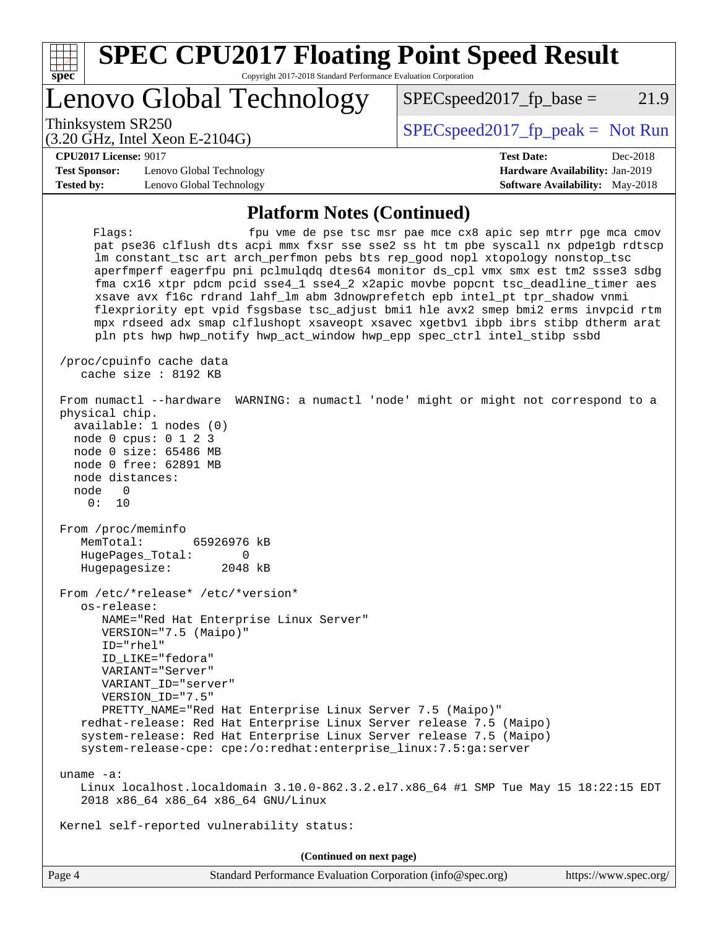| c<br>Ľ<br>۱. |  |  |  |  |  |
|--------------|--|--|--|--|--|

# **[SPEC CPU2017 Floating Point Speed Result](http://www.spec.org/auto/cpu2017/Docs/result-fields.html#SPECCPU2017FloatingPointSpeedResult)**

Copyright 2017-2018 Standard Performance Evaluation Corporation

Lenovo Global Technology

Thinksystem SR250  $SPEC speed2017$  [p\_peak = Not Run

 $SPEC speed2017_fp\_base = 21.9$ 

(3.20 GHz, Intel Xeon E-2104G)

**[CPU2017 License:](http://www.spec.org/auto/cpu2017/Docs/result-fields.html#CPU2017License)** 9017 **[Test Date:](http://www.spec.org/auto/cpu2017/Docs/result-fields.html#TestDate)** Dec-2018

**[Test Sponsor:](http://www.spec.org/auto/cpu2017/Docs/result-fields.html#TestSponsor)** Lenovo Global Technology **[Hardware Availability:](http://www.spec.org/auto/cpu2017/Docs/result-fields.html#HardwareAvailability)** Jan-2019 **[Tested by:](http://www.spec.org/auto/cpu2017/Docs/result-fields.html#Testedby)** Lenovo Global Technology **[Software Availability:](http://www.spec.org/auto/cpu2017/Docs/result-fields.html#SoftwareAvailability)** May-2018

#### **[Platform Notes \(Continued\)](http://www.spec.org/auto/cpu2017/Docs/result-fields.html#PlatformNotes)**

Flags: fpu vme de pse tsc msr pae mce cx8 apic sep mtrr pge mca cmov pat pse36 clflush dts acpi mmx fxsr sse sse2 ss ht tm pbe syscall nx pdpe1gb rdtscp lm constant\_tsc art arch\_perfmon pebs bts rep\_good nopl xtopology nonstop\_tsc aperfmperf eagerfpu pni pclmulqdq dtes64 monitor ds\_cpl vmx smx est tm2 ssse3 sdbg fma cx16 xtpr pdcm pcid sse4\_1 sse4\_2 x2apic movbe popcnt tsc\_deadline\_timer aes xsave avx f16c rdrand lahf\_lm abm 3dnowprefetch epb intel\_pt tpr\_shadow vnmi flexpriority ept vpid fsgsbase tsc\_adjust bmi1 hle avx2 smep bmi2 erms invpcid rtm mpx rdseed adx smap clflushopt xsaveopt xsavec xgetbv1 ibpb ibrs stibp dtherm arat pln pts hwp hwp\_notify hwp\_act\_window hwp\_epp spec\_ctrl intel\_stibp ssbd

 /proc/cpuinfo cache data cache size : 8192 KB

 From numactl --hardware WARNING: a numactl 'node' might or might not correspond to a physical chip. available: 1 nodes (0) node 0 cpus: 0 1 2 3 node 0 size: 65486 MB node 0 free: 62891 MB node distances: node 0 0: 10 From /proc/meminfo MemTotal: 65926976 kB HugePages\_Total: 0

Hugepagesize: 2048 kB

 From /etc/\*release\* /etc/\*version\* os-release: NAME="Red Hat Enterprise Linux Server" VERSION="7.5 (Maipo)" ID="rhel" ID\_LIKE="fedora" VARIANT="Server" VARIANT\_ID="server" VERSION\_ID="7.5" PRETTY\_NAME="Red Hat Enterprise Linux Server 7.5 (Maipo)" redhat-release: Red Hat Enterprise Linux Server release 7.5 (Maipo) system-release: Red Hat Enterprise Linux Server release 7.5 (Maipo) system-release-cpe: cpe:/o:redhat:enterprise\_linux:7.5:ga:server

uname -a:

 Linux localhost.localdomain 3.10.0-862.3.2.el7.x86\_64 #1 SMP Tue May 15 18:22:15 EDT 2018 x86\_64 x86\_64 x86\_64 GNU/Linux

Kernel self-reported vulnerability status:

**(Continued on next page)**

| Page 4 | Standard Performance Evaluation Corporation (info@spec.org) | https://www.spec.org/ |
|--------|-------------------------------------------------------------|-----------------------|
|--------|-------------------------------------------------------------|-----------------------|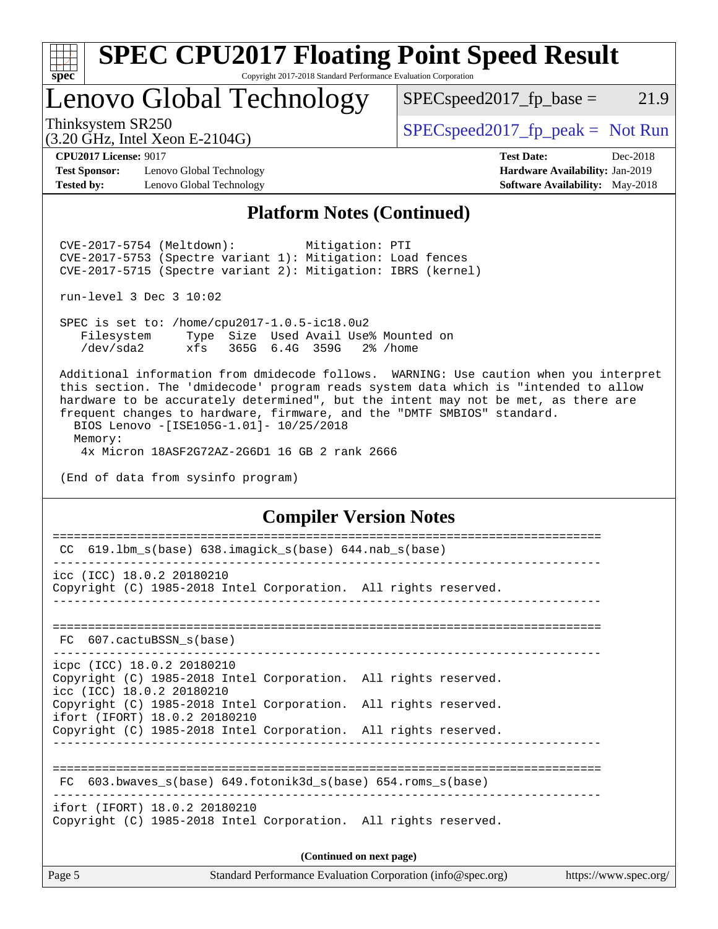

### **[SPEC CPU2017 Floating Point Speed Result](http://www.spec.org/auto/cpu2017/Docs/result-fields.html#SPECCPU2017FloatingPointSpeedResult)** Copyright 2017-2018 Standard Performance Evaluation Corporation

Lenovo Global Technology

 $SPEC speed2017_fp\_base = 21.9$ 

(3.20 GHz, Intel Xeon E-2104G)

Thinksystem SR250  $SPEC speed2017$  [p\_peak = Not Run

**[Test Sponsor:](http://www.spec.org/auto/cpu2017/Docs/result-fields.html#TestSponsor)** Lenovo Global Technology **[Hardware Availability:](http://www.spec.org/auto/cpu2017/Docs/result-fields.html#HardwareAvailability)** Jan-2019 **[Tested by:](http://www.spec.org/auto/cpu2017/Docs/result-fields.html#Testedby)** Lenovo Global Technology **[Software Availability:](http://www.spec.org/auto/cpu2017/Docs/result-fields.html#SoftwareAvailability)** May-2018

**[CPU2017 License:](http://www.spec.org/auto/cpu2017/Docs/result-fields.html#CPU2017License)** 9017 **[Test Date:](http://www.spec.org/auto/cpu2017/Docs/result-fields.html#TestDate)** Dec-2018

#### **[Platform Notes \(Continued\)](http://www.spec.org/auto/cpu2017/Docs/result-fields.html#PlatformNotes)**

 CVE-2017-5754 (Meltdown): Mitigation: PTI CVE-2017-5753 (Spectre variant 1): Mitigation: Load fences CVE-2017-5715 (Spectre variant 2): Mitigation: IBRS (kernel)

run-level 3 Dec 3 10:02

 SPEC is set to: /home/cpu2017-1.0.5-ic18.0u2 Filesystem Type Size Used Avail Use% Mounted on /dev/sda2 xfs 365G 6.4G 359G 2% /home

 Additional information from dmidecode follows. WARNING: Use caution when you interpret this section. The 'dmidecode' program reads system data which is "intended to allow hardware to be accurately determined", but the intent may not be met, as there are frequent changes to hardware, firmware, and the "DMTF SMBIOS" standard. BIOS Lenovo -[ISE105G-1.01]- 10/25/2018

 Memory: 4x Micron 18ASF2G72AZ-2G6D1 16 GB 2 rank 2666

(End of data from sysinfo program)

### **[Compiler Version Notes](http://www.spec.org/auto/cpu2017/Docs/result-fields.html#CompilerVersionNotes)**

| Page 5                                                     |                                                                 | Standard Performance Evaluation Corporation (info@spec.org) | https://www.spec.org/ |  |
|------------------------------------------------------------|-----------------------------------------------------------------|-------------------------------------------------------------|-----------------------|--|
| (Continued on next page)                                   |                                                                 |                                                             |                       |  |
| ifort (IFORT) 18.0.2 20180210                              | Copyright (C) 1985-2018 Intel Corporation. All rights reserved. |                                                             |                       |  |
| FC                                                         | 603.bwaves $s(base)$ 649.fotonik3d $s(base)$ 654.roms $s(base)$ |                                                             |                       |  |
|                                                            | Copyright (C) 1985-2018 Intel Corporation. All rights reserved. |                                                             |                       |  |
| icc (ICC) 18.0.2 20180210<br>ifort (IFORT) 18.0.2 20180210 | Copyright (C) 1985-2018 Intel Corporation. All rights reserved. |                                                             |                       |  |
| icpc (ICC) 18.0.2 20180210                                 | Copyright (C) 1985-2018 Intel Corporation. All rights reserved. |                                                             |                       |  |
| FC 607.cactuBSSN s(base)                                   |                                                                 |                                                             |                       |  |
| icc (ICC) 18.0.2 20180210                                  | Copyright (C) 1985-2018 Intel Corporation. All rights reserved. |                                                             |                       |  |
| CC                                                         | 619.1bm_s(base) 638.imagick_s(base) 644.nab_s(base)             |                                                             |                       |  |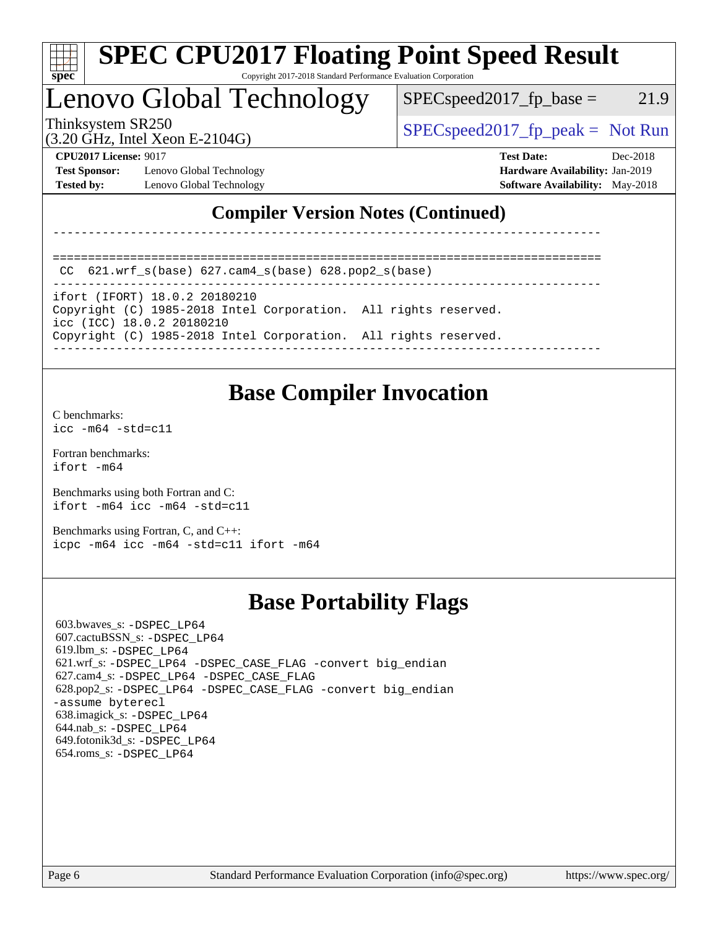

# **[SPEC CPU2017 Floating Point Speed Result](http://www.spec.org/auto/cpu2017/Docs/result-fields.html#SPECCPU2017FloatingPointSpeedResult)**

Copyright 2017-2018 Standard Performance Evaluation Corporation

## Lenovo Global Technology

 $SPEC speed2017_fp\_base = 21.9$ 

(3.20 GHz, Intel Xeon E-2104G)

Thinksystem SR250  $SPEC speed2017$  [p\_peak = Not Run

**[Test Sponsor:](http://www.spec.org/auto/cpu2017/Docs/result-fields.html#TestSponsor)** Lenovo Global Technology **[Hardware Availability:](http://www.spec.org/auto/cpu2017/Docs/result-fields.html#HardwareAvailability)** Jan-2019 **[Tested by:](http://www.spec.org/auto/cpu2017/Docs/result-fields.html#Testedby)** Lenovo Global Technology **[Software Availability:](http://www.spec.org/auto/cpu2017/Docs/result-fields.html#SoftwareAvailability)** May-2018

**[CPU2017 License:](http://www.spec.org/auto/cpu2017/Docs/result-fields.html#CPU2017License)** 9017 **[Test Date:](http://www.spec.org/auto/cpu2017/Docs/result-fields.html#TestDate)** Dec-2018

### **[Compiler Version Notes \(Continued\)](http://www.spec.org/auto/cpu2017/Docs/result-fields.html#CompilerVersionNotes)**

------------------------------------------------------------------------------

```
==============================================================================
CC 621.wrf_s(base) 627.cam4_s(base) 628.pop2_s(base)
```
------------------------------------------------------------------------------

ifort (IFORT) 18.0.2 20180210 Copyright (C) 1985-2018 Intel Corporation. All rights reserved.

icc (ICC) 18.0.2 20180210

Copyright (C) 1985-2018 Intel Corporation. All rights reserved.

------------------------------------------------------------------------------

### **[Base Compiler Invocation](http://www.spec.org/auto/cpu2017/Docs/result-fields.html#BaseCompilerInvocation)**

[C benchmarks](http://www.spec.org/auto/cpu2017/Docs/result-fields.html#Cbenchmarks): [icc -m64 -std=c11](http://www.spec.org/cpu2017/results/res2018q4/cpu2017-20181210-10103.flags.html#user_CCbase_intel_icc_64bit_c11_33ee0cdaae7deeeab2a9725423ba97205ce30f63b9926c2519791662299b76a0318f32ddfffdc46587804de3178b4f9328c46fa7c2b0cd779d7a61945c91cd35)

[Fortran benchmarks](http://www.spec.org/auto/cpu2017/Docs/result-fields.html#Fortranbenchmarks): [ifort -m64](http://www.spec.org/cpu2017/results/res2018q4/cpu2017-20181210-10103.flags.html#user_FCbase_intel_ifort_64bit_24f2bb282fbaeffd6157abe4f878425411749daecae9a33200eee2bee2fe76f3b89351d69a8130dd5949958ce389cf37ff59a95e7a40d588e8d3a57e0c3fd751)

[Benchmarks using both Fortran and C](http://www.spec.org/auto/cpu2017/Docs/result-fields.html#BenchmarksusingbothFortranandC): [ifort -m64](http://www.spec.org/cpu2017/results/res2018q4/cpu2017-20181210-10103.flags.html#user_CC_FCbase_intel_ifort_64bit_24f2bb282fbaeffd6157abe4f878425411749daecae9a33200eee2bee2fe76f3b89351d69a8130dd5949958ce389cf37ff59a95e7a40d588e8d3a57e0c3fd751) [icc -m64 -std=c11](http://www.spec.org/cpu2017/results/res2018q4/cpu2017-20181210-10103.flags.html#user_CC_FCbase_intel_icc_64bit_c11_33ee0cdaae7deeeab2a9725423ba97205ce30f63b9926c2519791662299b76a0318f32ddfffdc46587804de3178b4f9328c46fa7c2b0cd779d7a61945c91cd35)

[Benchmarks using Fortran, C, and C++:](http://www.spec.org/auto/cpu2017/Docs/result-fields.html#BenchmarksusingFortranCandCXX) [icpc -m64](http://www.spec.org/cpu2017/results/res2018q4/cpu2017-20181210-10103.flags.html#user_CC_CXX_FCbase_intel_icpc_64bit_4ecb2543ae3f1412ef961e0650ca070fec7b7afdcd6ed48761b84423119d1bf6bdf5cad15b44d48e7256388bc77273b966e5eb805aefd121eb22e9299b2ec9d9) [icc -m64 -std=c11](http://www.spec.org/cpu2017/results/res2018q4/cpu2017-20181210-10103.flags.html#user_CC_CXX_FCbase_intel_icc_64bit_c11_33ee0cdaae7deeeab2a9725423ba97205ce30f63b9926c2519791662299b76a0318f32ddfffdc46587804de3178b4f9328c46fa7c2b0cd779d7a61945c91cd35) [ifort -m64](http://www.spec.org/cpu2017/results/res2018q4/cpu2017-20181210-10103.flags.html#user_CC_CXX_FCbase_intel_ifort_64bit_24f2bb282fbaeffd6157abe4f878425411749daecae9a33200eee2bee2fe76f3b89351d69a8130dd5949958ce389cf37ff59a95e7a40d588e8d3a57e0c3fd751)

### **[Base Portability Flags](http://www.spec.org/auto/cpu2017/Docs/result-fields.html#BasePortabilityFlags)**

 603.bwaves\_s: [-DSPEC\\_LP64](http://www.spec.org/cpu2017/results/res2018q4/cpu2017-20181210-10103.flags.html#suite_basePORTABILITY603_bwaves_s_DSPEC_LP64) 607.cactuBSSN\_s: [-DSPEC\\_LP64](http://www.spec.org/cpu2017/results/res2018q4/cpu2017-20181210-10103.flags.html#suite_basePORTABILITY607_cactuBSSN_s_DSPEC_LP64) 619.lbm\_s: [-DSPEC\\_LP64](http://www.spec.org/cpu2017/results/res2018q4/cpu2017-20181210-10103.flags.html#suite_basePORTABILITY619_lbm_s_DSPEC_LP64) 621.wrf\_s: [-DSPEC\\_LP64](http://www.spec.org/cpu2017/results/res2018q4/cpu2017-20181210-10103.flags.html#suite_basePORTABILITY621_wrf_s_DSPEC_LP64) [-DSPEC\\_CASE\\_FLAG](http://www.spec.org/cpu2017/results/res2018q4/cpu2017-20181210-10103.flags.html#b621.wrf_s_baseCPORTABILITY_DSPEC_CASE_FLAG) [-convert big\\_endian](http://www.spec.org/cpu2017/results/res2018q4/cpu2017-20181210-10103.flags.html#user_baseFPORTABILITY621_wrf_s_convert_big_endian_c3194028bc08c63ac5d04de18c48ce6d347e4e562e8892b8bdbdc0214820426deb8554edfa529a3fb25a586e65a3d812c835984020483e7e73212c4d31a38223) 627.cam4\_s: [-DSPEC\\_LP64](http://www.spec.org/cpu2017/results/res2018q4/cpu2017-20181210-10103.flags.html#suite_basePORTABILITY627_cam4_s_DSPEC_LP64) [-DSPEC\\_CASE\\_FLAG](http://www.spec.org/cpu2017/results/res2018q4/cpu2017-20181210-10103.flags.html#b627.cam4_s_baseCPORTABILITY_DSPEC_CASE_FLAG) 628.pop2\_s: [-DSPEC\\_LP64](http://www.spec.org/cpu2017/results/res2018q4/cpu2017-20181210-10103.flags.html#suite_basePORTABILITY628_pop2_s_DSPEC_LP64) [-DSPEC\\_CASE\\_FLAG](http://www.spec.org/cpu2017/results/res2018q4/cpu2017-20181210-10103.flags.html#b628.pop2_s_baseCPORTABILITY_DSPEC_CASE_FLAG) [-convert big\\_endian](http://www.spec.org/cpu2017/results/res2018q4/cpu2017-20181210-10103.flags.html#user_baseFPORTABILITY628_pop2_s_convert_big_endian_c3194028bc08c63ac5d04de18c48ce6d347e4e562e8892b8bdbdc0214820426deb8554edfa529a3fb25a586e65a3d812c835984020483e7e73212c4d31a38223) [-assume byterecl](http://www.spec.org/cpu2017/results/res2018q4/cpu2017-20181210-10103.flags.html#user_baseFPORTABILITY628_pop2_s_assume_byterecl_7e47d18b9513cf18525430bbf0f2177aa9bf368bc7a059c09b2c06a34b53bd3447c950d3f8d6c70e3faf3a05c8557d66a5798b567902e8849adc142926523472) 638.imagick\_s: [-DSPEC\\_LP64](http://www.spec.org/cpu2017/results/res2018q4/cpu2017-20181210-10103.flags.html#suite_basePORTABILITY638_imagick_s_DSPEC_LP64) 644.nab\_s: [-DSPEC\\_LP64](http://www.spec.org/cpu2017/results/res2018q4/cpu2017-20181210-10103.flags.html#suite_basePORTABILITY644_nab_s_DSPEC_LP64) 649.fotonik3d\_s: [-DSPEC\\_LP64](http://www.spec.org/cpu2017/results/res2018q4/cpu2017-20181210-10103.flags.html#suite_basePORTABILITY649_fotonik3d_s_DSPEC_LP64) 654.roms\_s: [-DSPEC\\_LP64](http://www.spec.org/cpu2017/results/res2018q4/cpu2017-20181210-10103.flags.html#suite_basePORTABILITY654_roms_s_DSPEC_LP64)